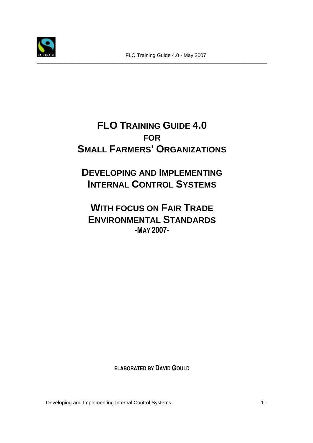

## **FLO TRAINING GUIDE 4.0 FOR SMALL FARMERS' ORGANIZATIONS**

**DEVELOPING AND IMPLEMENTING INTERNAL CONTROL SYSTEMS**

**WITH FOCUS ON FAIR TRADE ENVIRONMENTAL STANDARDS -MAY 2007-** 

**ELABORATED BY DAVID GOULD**

Developing and Implementing Internal Control Systems - 1 -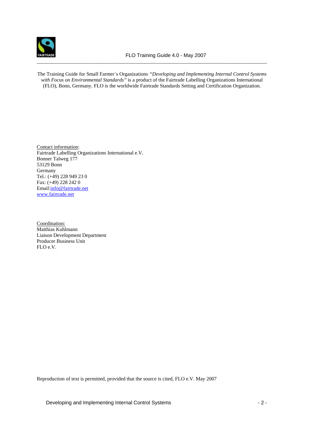

The Training Guide for Small Farmer´s Organizations *"Developing and Implementing Internal Control Systems with Focus on Environmental Standards"* is a product of the Fairtrade Labelling Organizations International (FLO), Bonn, Germany. FLO is the worldwide Fairtrade Standards Setting and Certification Organization.

Contact information: Fairtrade Labelling Organizations International e.V. Bonner Talweg 177 53129 Bonn Germany Tel.: (+49) 228 949 23 0 Fax: (+49) 228 242 0 Email:info@fairtrade.net www.fairtrade.net

Coordination: Matthias Kuhlmann Liaison Development Department Producer Business Unit FLO e.V.

Reproduction of text is permitted, provided that the source is cited, FLO e.V. May 2007

Developing and Implementing Internal Control Systems - 2 -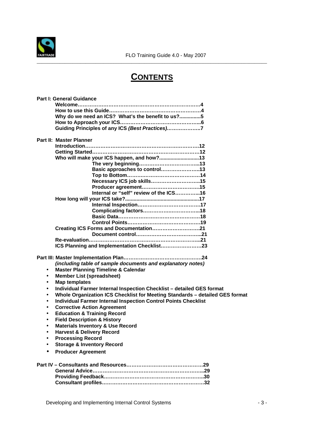

## **CONTENTS**

\_\_\_\_\_\_\_\_\_\_\_\_\_\_\_\_\_\_\_\_\_\_\_\_\_\_\_\_\_\_\_\_\_\_\_\_\_\_\_\_\_\_\_\_\_\_\_\_\_\_\_\_\_\_\_\_\_\_\_\_\_\_\_\_\_\_\_\_\_\_\_\_\_\_\_\_\_\_\_\_\_\_\_\_\_\_\_\_\_\_

|           | <b>Part I: General Guidance</b>                                              |
|-----------|------------------------------------------------------------------------------|
|           |                                                                              |
|           |                                                                              |
|           | Why do we need an ICS? What's the benefit to us?5                            |
|           |                                                                              |
|           | Guiding Principles of any ICS (Best Practices)7                              |
|           | Part II: Master Planner                                                      |
|           |                                                                              |
|           |                                                                              |
|           | Who will make your ICS happen, and how?13                                    |
|           |                                                                              |
|           | Basic approaches to control13                                                |
|           |                                                                              |
|           |                                                                              |
|           |                                                                              |
|           | Internal or "self" review of the ICS16                                       |
|           |                                                                              |
|           |                                                                              |
|           |                                                                              |
|           |                                                                              |
|           |                                                                              |
|           | Creating ICS Forms and Documentation21                                       |
|           |                                                                              |
|           |                                                                              |
|           | ICS Planning and Implementation Checklist23                                  |
|           |                                                                              |
|           | (including table of sample documents and explanatory notes)                  |
| $\bullet$ | <b>Master Planning Timeline &amp; Calendar</b>                               |
| $\bullet$ | <b>Member List (spreadsheet)</b>                                             |
| $\bullet$ | <b>Map templates</b>                                                         |
| $\bullet$ | Individual Farmer Internal Inspection Checklist - detailed GES format        |
| $\bullet$ | Whole Organization ICS Checklist for Meeting Standards - detailed GES format |
| $\bullet$ | <b>Individual Farmer Internal Inspection Control Points Checklist</b>        |
| $\bullet$ | <b>Corrective Action Agreement</b>                                           |
| $\bullet$ |                                                                              |
|           | <b>Education &amp; Training Record</b>                                       |
| $\bullet$ | <b>Field Description &amp; History</b>                                       |
| $\bullet$ | <b>Materials Inventory &amp; Use Record</b>                                  |
|           | <b>Harvest &amp; Delivery Record</b>                                         |
|           | <b>Processing Record</b>                                                     |
|           | <b>Storage &amp; Inventory Record</b>                                        |
|           | <b>Producer Agreement</b>                                                    |
|           |                                                                              |
|           |                                                                              |
|           |                                                                              |
|           |                                                                              |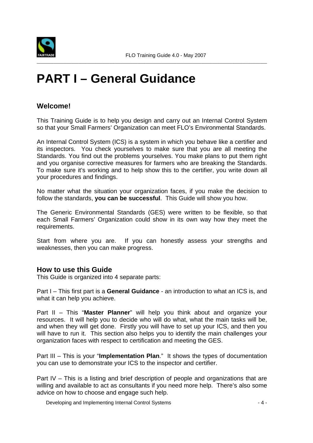

## **PART I – General Guidance**

## **Welcome!**

This Training Guide is to help you design and carry out an Internal Control System so that your Small Farmers' Organization can meet FLO's Environmental Standards.

\_\_\_\_\_\_\_\_\_\_\_\_\_\_\_\_\_\_\_\_\_\_\_\_\_\_\_\_\_\_\_\_\_\_\_\_\_\_\_\_\_\_\_\_\_\_\_\_\_\_\_\_\_\_\_\_\_\_\_\_\_\_\_\_\_\_\_\_\_\_\_\_\_\_\_\_\_\_\_\_\_\_\_\_\_\_\_\_\_\_

An Internal Control System (ICS) is a system in which you behave like a certifier and its inspectors. You check yourselves to make sure that you are all meeting the Standards. You find out the problems yourselves. You make plans to put them right and you organise corrective measures for farmers who are breaking the Standards. To make sure it's working and to help show this to the certifier, you write down all your procedures and findings.

No matter what the situation your organization faces, if you make the decision to follow the standards, **you can be successful**. This Guide will show you how.

The Generic Environmental Standards (GES) were written to be flexible, so that each Small Farmers' Organization could show in its own way how they meet the requirements.

Start from where you are. If you can honestly assess your strengths and weaknesses, then you can make progress.

#### **How to use this Guide**

This Guide is organized into 4 separate parts:

Part I – This first part is a **General Guidance** - an introduction to what an ICS is, and what it can help you achieve.

Part II – This "**Master Planner**" will help you think about and organize your resources. It will help you to decide who will do what, what the main tasks will be, and when they will get done. Firstly you will have to set up your ICS, and then you will have to run it. This section also helps you to identify the main challenges your organization faces with respect to certification and meeting the GES.

Part III – This is your "**Implementation Plan**." It shows the types of documentation you can use to demonstrate your ICS to the inspector and certifier.

Part IV – This is a listing and brief description of people and organizations that are willing and available to act as consultants if you need more help. There's also some advice on how to choose and engage such help.

Developing and Implementing Internal Control Systems - 4 -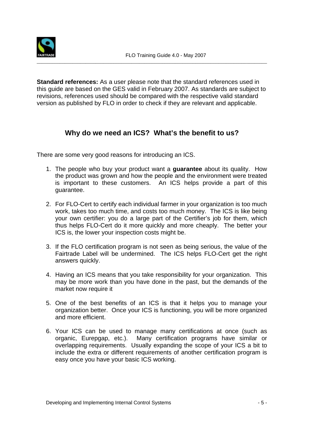

**Standard references:** As a user please note that the standard references used in this guide are based on the GES valid in February 2007. As standards are subject to revisions, references used should be compared with the respective valid standard version as published by FLO in order to check if they are relevant and applicable.

## **Why do we need an ICS? What's the benefit to us?**

There are some very good reasons for introducing an ICS.

- 1. The people who buy your product want a **guarantee** about its quality. How the product was grown and how the people and the environment were treated is important to these customers. An ICS helps provide a part of this guarantee.
- 2. For FLO-Cert to certify each individual farmer in your organization is too much work, takes too much time, and costs too much money. The ICS is like being your own certifier: you do a large part of the Certifier's job for them, which thus helps FLO-Cert do it more quickly and more cheaply. The better your ICS is, the lower your inspection costs might be.
- 3. If the FLO certification program is not seen as being serious, the value of the Fairtrade Label will be undermined. The ICS helps FLO-Cert get the right answers quickly.
- 4. Having an ICS means that you take responsibility for your organization. This may be more work than you have done in the past, but the demands of the market now require it
- 5. One of the best benefits of an ICS is that it helps you to manage your organization better. Once your ICS is functioning, you will be more organized and more efficient.
- 6. Your ICS can be used to manage many certifications at once (such as organic, Eurepgap, etc.). Many certification programs have similar or overlapping requirements. Usually expanding the scope of your ICS a bit to include the extra or different requirements of another certification program is easy once you have your basic ICS working.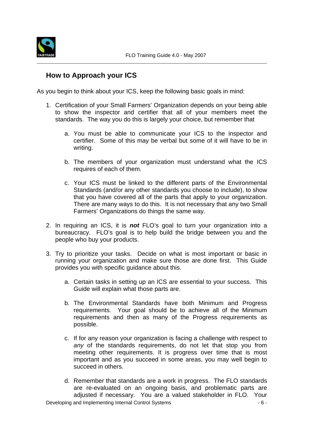

## **How to Approach your ICS**

As you begin to think about your ICS, keep the following basic goals in mind:

- 1. Certification of your Small Farmers' Organization depends on your being able to show the inspector and certifier that all of your members meet the standards. The way you do this is largely your choice, but remember that
	- a. You must be able to communicate your ICS to the inspector and certifier. Some of this may be verbal but some of it will have to be in writing.
	- b. The members of your organization must understand what the ICS requires of each of them.
	- c. Your ICS must be linked to the different parts of the Environmental Standards (and/or any other standards you choose to include), to show that you have covered all of the parts that apply to your organization. There are many ways to do this. It is not necessary that any two Small Farmers' Organizations do things the same way.
- 2. In requiring an ICS, it is **not** FLO's goal to turn your organization into a bureaucracy. FLO's goal is to help build the bridge between you and the people who buy your products.
- 3. Try to prioritize your tasks. Decide on what is most important or basic in running your organization and make sure those are done first. This Guide provides you with specific guidance about this.
	- a. Certain tasks in setting up an ICS are essential to your success. This Guide will explain what those parts are.
	- b. The Environmental Standards have both Minimum and Progress requirements. Your goal should be to achieve all of the Minimum requirements and then as many of the Progress requirements as possible.
	- c. If for any reason your organization is facing a challenge with respect to any of the standards requirements, do not let that stop you from meeting other requirements. It is progress over time that is most important and as you succeed in some areas, you may well begin to succeed in others.
- Developing and Implementing Internal Control Systems 6 d. Remember that standards are a work in progress. The FLO standards are re-evaluated on an ongoing basis, and problematic parts are adjusted if necessary. You are a valued stakeholder in FLO. Your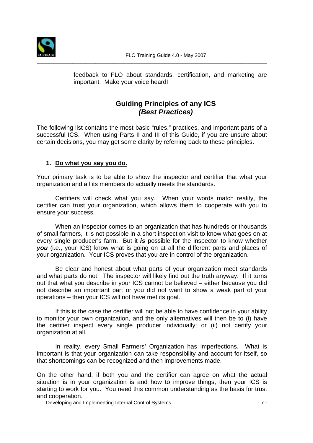

feedback to FLO about standards, certification, and marketing are important. Make your voice heard!

## **Guiding Principles of any ICS (Best Practices)**

The following list contains the most basic "rules," practices, and important parts of a successful ICS. When using Parts II and III of this Guide, if you are unsure about certain decisions, you may get some clarity by referring back to these principles.

#### **1. Do what you say you do.**

Your primary task is to be able to show the inspector and certifier that what your organization and all its members do actually meets the standards.

Certifiers will check what you say. When your words match reality, the certifier can trust your organization, which allows them to cooperate with you to ensure your success.

When an inspector comes to an organization that has hundreds or thousands of small farmers, it is not possible in a short inspection visit to know what goes on at every single producer's farm. But it **is** possible for the inspector to know whether **you** (i.e., your ICS) know what is going on at all the different parts and places of your organization. Your ICS proves that you are in control of the organization.

Be clear and honest about what parts of your organization meet standards and what parts do not. The inspector will likely find out the truth anyway. If it turns out that what you describe in your ICS cannot be believed – either because you did not describe an important part or you did not want to show a weak part of your operations – then your ICS will not have met its goal.

If this is the case the certifier will not be able to have confidence in your ability to monitor your own organization, and the only alternatives will then be to (i) have the certifier inspect every single producer individually; or (ii) not certify your organization at all.

In reality, every Small Farmers' Organization has imperfections. What is important is that your organization can take responsibility and account for itself, so that shortcomings can be recognized and then improvements made.

On the other hand, if both you and the certifier can agree on what the actual situation is in your organization is and how to improve things, then your ICS is starting to work for you. You need this common understanding as the basis for trust and cooperation.

Developing and Implementing Internal Control Systems - 7 -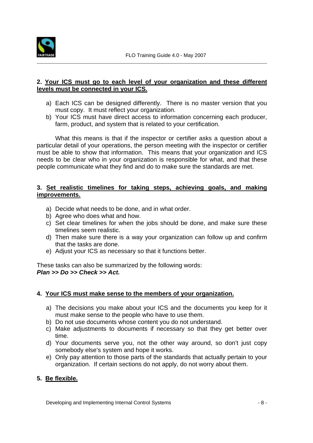

#### **2. Your ICS must go to each level of your organization and these different levels must be connected in your ICS.**

- a) Each ICS can be designed differently. There is no master version that you must copy. It must reflect your organization.
- b) Your ICS must have direct access to information concerning each producer, farm, product, and system that is related to your certification.

What this means is that if the inspector or certifier asks a question about a particular detail of your operations, the person meeting with the inspector or certifier must be able to show that information. This means that your organization and ICS needs to be clear who in your organization is responsible for what, and that these people communicate what they find and do to make sure the standards are met.

#### **3. Set realistic timelines for taking steps, achieving goals, and making improvements.**

- a) Decide what needs to be done, and in what order.
- b) Agree who does what and how.
- c) Set clear timelines for when the jobs should be done, and make sure these timelines seem realistic.
- d) Then make sure there is a way your organization can follow up and confirm that the tasks are done.
- e) Adjust your ICS as necessary so that it functions better.

These tasks can also be summarized by the following words: **Plan >> Do >> Check >> Act.** 

#### **4. Your ICS must make sense to the members of your organization.**

- a) The decisions you make about your ICS and the documents you keep for it must make sense to the people who have to use them.
- b) Do not use documents whose content you do not understand.
- c) Make adjustments to documents if necessary so that they get better over time.
- d) Your documents serve you, not the other way around, so don't just copy somebody else's system and hope it works.
- e) Only pay attention to those parts of the standards that actually pertain to your organization. If certain sections do not apply, do not worry about them.

#### **5. Be flexible.**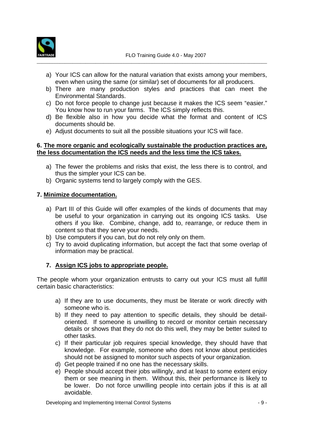

- a) Your ICS can allow for the natural variation that exists among your members, even when using the same (or similar) set of documents for all producers.
- b) There are many production styles and practices that can meet the Environmental Standards.
- c) Do not force people to change just because it makes the ICS seem "easier." You know how to run your farms. The ICS simply reflects this.
- d) Be flexible also in how you decide what the format and content of ICS documents should be.
- e) Adjust documents to suit all the possible situations your ICS will face.

#### **6. The more organic and ecologically sustainable the production practices are, the less documentation the ICS needs and the less time the ICS takes.**

- a) The fewer the problems and risks that exist, the less there is to control, and thus the simpler your ICS can be.
- b) Organic systems tend to largely comply with the GES.

#### **7. Minimize documentation.**

- a) Part III of this Guide will offer examples of the kinds of documents that may be useful to your organization in carrying out its ongoing ICS tasks. Use others if you like. Combine, change, add to, rearrange, or reduce them in content so that they serve your needs.
- b) Use computers if you can, but do not rely only on them.
- c) Try to avoid duplicating information, but accept the fact that some overlap of information may be practical.

#### **7. Assign ICS jobs to appropriate people.**

The people whom your organization entrusts to carry out your ICS must all fulfill certain basic characteristics:

- a) If they are to use documents, they must be literate or work directly with someone who is.
- b) If they need to pay attention to specific details, they should be detailoriented. If someone is unwilling to record or monitor certain necessary details or shows that they do not do this well, they may be better suited to other tasks.
- c) If their particular job requires special knowledge, they should have that knowledge. For example, someone who does not know about pesticides should not be assigned to monitor such aspects of your organization.
- d) Get people trained if no one has the necessary skills.
- e) People should accept their jobs willingly, and at least to some extent enjoy them or see meaning in them. Without this, their performance is likely to be lower. Do not force unwilling people into certain jobs if this is at all avoidable.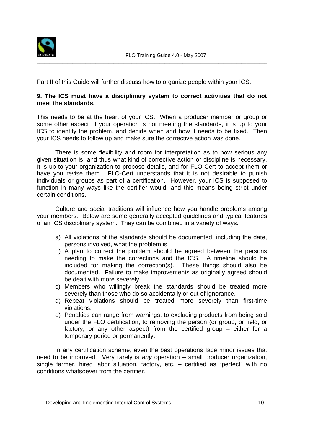

Part II of this Guide will further discuss how to organize people within your ICS.

#### **9. The ICS must have a disciplinary system to correct activities that do not meet the standards.**

This needs to be at the heart of your ICS. When a producer member or group or some other aspect of your operation is not meeting the standards, it is up to your ICS to identify the problem, and decide when and how it needs to be fixed. Then your ICS needs to follow up and make sure the corrective action was done.

 There is some flexibility and room for interpretation as to how serious any given situation is, and thus what kind of corrective action or discipline is necessary. It is up to your organization to propose details, and for FLO-Cert to accept them or have you revise them. FLO-Cert understands that it is not desirable to punish individuals or groups as part of a certification. However, your ICS is supposed to function in many ways like the certifier would, and this means being strict under certain conditions.

 Culture and social traditions will influence how you handle problems among your members. Below are some generally accepted guidelines and typical features of an ICS disciplinary system. They can be combined in a variety of ways.

- a) All violations of the standards should be documented, including the date, persons involved, what the problem is.
- b) A plan to correct the problem should be agreed between the persons needing to make the corrections and the ICS. A timeline should be included for making the correction(s). These things should also be documented. Failure to make improvements as originally agreed should be dealt with more severely.
- c) Members who willingly break the standards should be treated more severely than those who do so accidentally or out of ignorance.
- d) Repeat violations should be treated more severely than first-time violations.
- e) Penalties can range from warnings, to excluding products from being sold under the FLO certification, to removing the person (or group, or field, or factory, or any other aspect) from the certified group – either for a temporary period or permanently.

In any certification scheme, even the best operations face minor issues that need to be improved. Very rarely is any operation – small producer organization, single farmer, hired labor situation, factory, etc. – certified as "perfect" with no conditions whatsoever from the certifier.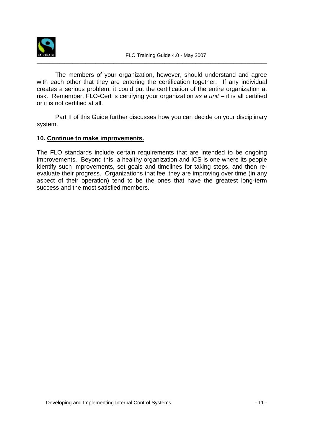

 The members of your organization, however, should understand and agree with each other that they are entering the certification together. If any individual creates a serious problem, it could put the certification of the entire organization at risk. Remember, FLO-Cert is certifying your organization as a  $unit - it$  is all certified or it is not certified at all.

 Part II of this Guide further discusses how you can decide on your disciplinary system.

#### **10. Continue to make improvements.**

The FLO standards include certain requirements that are intended to be ongoing improvements. Beyond this, a healthy organization and ICS is one where its people identify such improvements, set goals and timelines for taking steps, and then reevaluate their progress. Organizations that feel they are improving over time (in any aspect of their operation) tend to be the ones that have the greatest long-term success and the most satisfied members.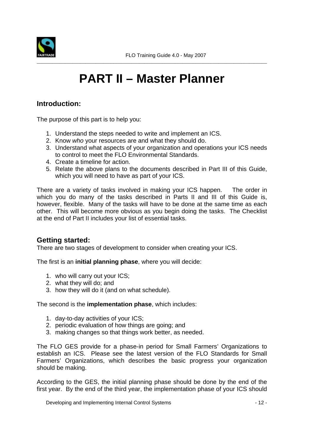

## **PART II – Master Planner**

## **Introduction:**

The purpose of this part is to help you:

- 1. Understand the steps needed to write and implement an ICS.
- 2. Know who your resources are and what they should do.
- 3. Understand what aspects of your organization and operations your ICS needs to control to meet the FLO Environmental Standards.
- 4. Create a timeline for action.
- 5. Relate the above plans to the documents described in Part III of this Guide, which you will need to have as part of your ICS.

There are a variety of tasks involved in making your ICS happen. The order in which you do many of the tasks described in Parts II and III of this Guide is, however, flexible. Many of the tasks will have to be done at the same time as each other. This will become more obvious as you begin doing the tasks. The Checklist at the end of Part II includes your list of essential tasks.

### **Getting started:**

There are two stages of development to consider when creating your ICS.

The first is an **initial planning phase**, where you will decide:

- 1. who will carry out your ICS;
- 2. what they will do; and
- 3. how they will do it (and on what schedule).

The second is the **implementation phase**, which includes:

- 1. day-to-day activities of your ICS;
- 2. periodic evaluation of how things are going; and
- 3. making changes so that things work better, as needed.

The FLO GES provide for a phase-in period for Small Farmers' Organizations to establish an ICS. Please see the latest version of the FLO Standards for Small Farmers' Organizations, which describes the basic progress your organization should be making.

According to the GES, the initial planning phase should be done by the end of the first year. By the end of the third year, the implementation phase of your ICS should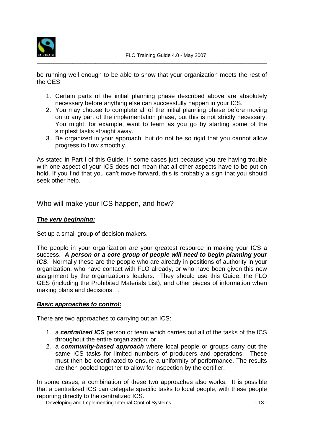

be running well enough to be able to show that your organization meets the rest of the GES

- 1. Certain parts of the initial planning phase described above are absolutely necessary before anything else can successfully happen in your ICS.
- 2. You may choose to complete all of the initial planning phase before moving on to any part of the implementation phase, but this is not strictly necessary. You might, for example, want to learn as you go by starting some of the simplest tasks straight away.
- 3. Be organized in your approach, but do not be so rigid that you cannot allow progress to flow smoothly.

As stated in Part I of this Guide, in some cases just because you are having trouble with one aspect of your ICS does not mean that all other aspects have to be put on hold. If you find that you can't move forward, this is probably a sign that you should seek other help.

Who will make your ICS happen, and how?

#### **The very beginning:**

Set up a small group of decision makers.

The people in your organization are your greatest resource in making your ICS a success. **A person or a core group of people will need to begin planning your ICS**. Normally these are the people who are already in positions of authority in your organization, who have contact with FLO already, or who have been given this new assignment by the organization's leaders. They should use this Guide, the FLO GES (including the Prohibited Materials List), and other pieces of information when making plans and decisions. .

#### **Basic approaches to control:**

There are two approaches to carrying out an ICS:

- 1. a **centralized ICS** person or team which carries out all of the tasks of the ICS throughout the entire organization; or
- 2. a **community-based approach** where local people or groups carry out the same ICS tasks for limited numbers of producers and operations. These must then be coordinated to ensure a uniformity of performance. The results are then pooled together to allow for inspection by the certifier.

In some cases, a combination of these two approaches also works. It is possible that a centralized ICS can delegate specific tasks to local people, with these people reporting directly to the centralized ICS.

Developing and Implementing Internal Control Systems - 13 -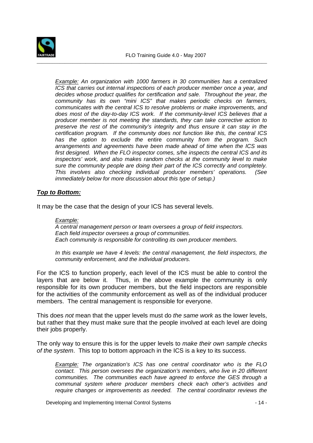

**Example:** An organization with 1000 farmers in 30 communities has a centralized ICS that carries out internal inspections of each producer member once a year, and decides whose product qualifies for certification and sale. Throughout the year, the community has its own "mini ICS" that makes periodic checks on farmers, communicates with the central ICS to resolve problems or make improvements, and does most of the day-to-day ICS work. If the community-level ICS believes that a producer member is not meeting the standards, they can take corrective action to preserve the rest of the community's integrity and thus ensure it can stay in the certification program. If the community does not function like this, the central ICS has the option to exclude the entire community from the program. Such arrangements and agreements have been made ahead of time when the ICS was first designed. When the FLO inspector comes, s/he inspects the central ICS and its inspectors' work, and also makes random checks at the community level to make sure the community people are doing their part of the ICS correctly and completely. This involves also checking individual producer members' operations. (See immediately below for more discussion about this type of setup.)

#### **Top to Bottom:**

It may be the case that the design of your ICS has several levels.

#### Example:

A central management person or team oversees a group of field inspectors. Each field inspector oversees a group of communities. Each community is responsible for controlling its own producer members.

In this example we have 4 levels: the central management, the field inspectors, the community enforcement, and the individual producers.

For the ICS to function properly, each level of the ICS must be able to control the layers that are below it. Thus, in the above example the community is only responsible for its own producer members, but the field inspectors are responsible for the activities of the community enforcement as well as of the individual producer members. The central management is responsible for everyone.

This does not mean that the upper levels must do the same work as the lower levels, but rather that they must make sure that the people involved at each level are doing their jobs properly.

The only way to ensure this is for the upper levels to *make their own sample checks* of the system. This top to bottom approach in the ICS is a key to its success.

**Example:** The organization's ICS has one central coordinator who is the FLO contact. This person oversees the organization's members, who live in 20 different communities. The communities each have agreed to enforce the GES through a communal system where producer members check each other's activities and require changes or improvements as needed. The central coordinator reviews the

Developing and Implementing Internal Control Systems - 14 -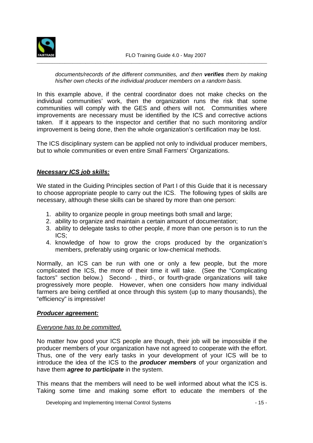

#### documents/records of the different communities, and then **verifies** them by making his/her own checks of the individual producer members on a random basis.

In this example above, if the central coordinator does not make checks on the individual communities' work, then the organization runs the risk that some communities will comply with the GES and others will not. Communities where improvements are necessary must be identified by the ICS and corrective actions taken. If it appears to the inspector and certifier that no such monitoring and/or improvement is being done, then the whole organization's certification may be lost.

The ICS disciplinary system can be applied not only to individual producer members, but to whole communities or even entire Small Farmers' Organizations.

#### **Necessary ICS job skills:**

We stated in the Guiding Principles section of Part I of this Guide that it is necessary to choose appropriate people to carry out the ICS. The following types of skills are necessary, although these skills can be shared by more than one person:

- 1. ability to organize people in group meetings both small and large;
- 2. ability to organize and maintain a certain amount of documentation;
- 3. ability to delegate tasks to other people, if more than one person is to run the ICS;
- 4. knowledge of how to grow the crops produced by the organization's members, preferably using organic or low-chemical methods.

Normally, an ICS can be run with one or only a few people, but the more complicated the ICS, the more of their time it will take. (See the "Complicating factors" section below.) Second- , third-, or fourth-grade organizations will take progressively more people. However, when one considers how many individual farmers are being certified at once through this system (up to many thousands), the "efficiency" is impressive!

#### **Producer agreement:**

#### Everyone has to be committed.

No matter how good your ICS people are though, their job will be impossible if the producer members of your organization have not agreed to cooperate with the effort. Thus, one of the very early tasks in your development of your ICS will be to introduce the idea of the ICS to the **producer members** of your organization and have them **agree to participate** in the system.

This means that the members will need to be well informed about what the ICS is. Taking some time and making some effort to educate the members of the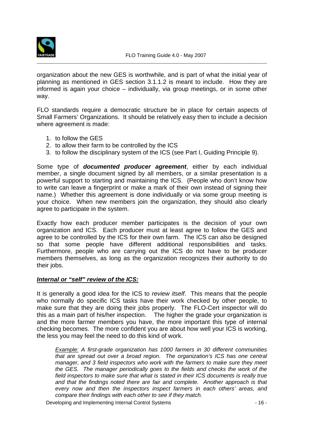

organization about the new GES is worthwhile, and is part of what the initial year of planning as mentioned in GES section 3.1.1.2 is meant to include. How they are informed is again your choice – individually, via group meetings, or in some other way.

FLO standards require a democratic structure be in place for certain aspects of Small Farmers' Organizations. It should be relatively easy then to include a decision where agreement is made:

- 1. to follow the GES
- 2. to allow their farm to be controlled by the ICS
- 3. to follow the disciplinary system of the ICS (see Part I, Guiding Principle 9).

Some type of **documented producer agreement**, either by each individual member, a single document signed by all members, or a similar presentation is a powerful support to starting and maintaining the ICS. (People who don't know how to write can leave a fingerprint or make a mark of their own instead of signing their name.) Whether this agreement is done individually or via some group meeting is your choice. When new members join the organization, they should also clearly agree to participate in the system.

Exactly how each producer member participates is the decision of your own organization and ICS. Each producer must at least agree to follow the GES and agree to be controlled by the ICS for their own farm. The ICS can also be designed so that some people have different additional responsibilities and tasks. Furthermore, people who are carrying out the ICS do not have to be producer members themselves, as long as the organization recognizes their authority to do their jobs.

#### **Internal or "self" review of the ICS:**

It is generally a good idea for the ICS to review itself. This means that the people who normally do specific ICS tasks have their work checked by other people, to make sure that they are doing their jobs properly. The FLO-Cert inspector will do this as a main part of his/her inspection. The higher the grade your organization is and the more farmer members you have, the more important this type of internal checking becomes. The more confident you are about how well your ICS is working, the less you may feel the need to do this kind of work.

**Example:** A first-grade organization has 1000 farmers in 30 different communities that are spread out over a broad region. The organization's ICS has one central manager, and 3 field inspectors who work with the farmers to make sure they meet the GES. The manager periodically goes to the fields and checks the work of the field inspectors to make sure that what is stated in their ICS documents is really true and that the findings noted there are fair and complete. Another approach is that every now and then the inspectors inspect farmers in each others' areas, and compare their findings with each other to see if they match.

Developing and Implementing Internal Control Systems - 16 -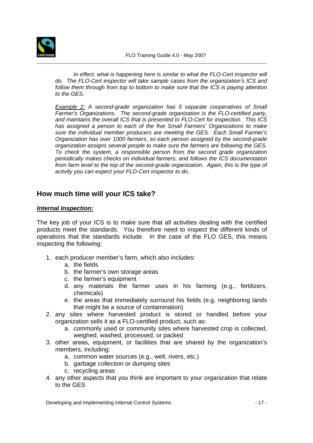

In effect, what is happening here is similar to what the FLO-Cert inspector will do. The FLO-Cert inspector will take sample cases from the organization's ICS and follow them through from top to bottom to make sure that the ICS is paying attention to the GES.

Example 2: A second-grade organization has 5 separate cooperatives of Small Farmer's Organizations. The second-grade organization is the FLO-certified party, and maintains the overall ICS that is presented to FLO-Cert for inspection. This ICS has assigned a person to each of the five Small Farmers' Organizations to make sure the individual member producers are meeting the GES. Each Small Farmer's Organization has over 1000 farmers, so each person assigned by the second-grade organization assigns several people to make sure the farmers are following the GES. To check the system, a responsible person from the second grade organization periodically makes checks on individual farmers, and follows the ICS documentation from farm level to the top of the second-grade organization. Again, this is the type of activity you can expect your FLO-Cert inspector to do.

## **How much time will your ICS take?**

#### **Internal Inspection:**

The key job of your ICS is to make sure that all activities dealing with the certified products meet the standards. You therefore need to inspect the different kinds of operations that the standards include. In the case of the FLO GES, this means inspecting the following:

- 1. each producer member's farm, which also includes:
	- a. the fields
	- b. the farmer's own storage areas
	- c. the farmer's equipment
	- d. any materials the farmer uses in his farming (e.g., fertilizers, chemicals)
	- e. the areas that immediately surround his fields (e.g. neighboring lands that might be a source of contamination)
- 2. any sites where harvested product is stored or handled before your organization sells it as a FLO-certified product, such as:
	- a. commonly used or community sites where harvested crop is collected, weighed, washed, processed, or packed
- 3. other areas, equipment, or facilities that are shared by the organization's members, including:
	- a. common water sources (e.g., well, rivers, etc.)
	- b. garbage collection or dumping sites
	- c. recycling areas
- 4. any other aspects that you think are important to your organization that relate to the GES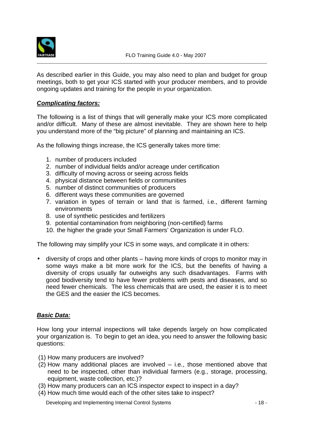

As described earlier in this Guide, you may also need to plan and budget for group meetings, both to get your ICS started with your producer members, and to provide ongoing updates and training for the people in your organization.

#### **Complicating factors:**

The following is a list of things that will generally make your ICS more complicated and/or difficult. Many of these are almost inevitable. They are shown here to help you understand more of the "big picture" of planning and maintaining an ICS.

As the following things increase, the ICS generally takes more time:

- 1. number of producers included
- 2. number of individual fields and/or acreage under certification
- 3. difficulty of moving across or seeing across fields
- 4. physical distance between fields or communities
- 5. number of distinct communities of producers
- 6. different ways these communities are governed
- 7. variation in types of terrain or land that is farmed, i.e., different farming environments
- 8. use of synthetic pesticides and fertilizers
- 9. potential contamination from neighboring (non-certified) farms
- 10. the higher the grade your Small Farmers' Organization is under FLO.

The following may simplify your ICS in some ways, and complicate it in others:

• diversity of crops and other plants – having more kinds of crops to monitor may in some ways make a bit more work for the ICS, but the benefits of having a diversity of crops usually far outweighs any such disadvantages. Farms with good biodiversity tend to have fewer problems with pests and diseases, and so need fewer chemicals. The less chemicals that are used, the easier it is to meet the GES and the easier the ICS becomes.

#### **Basic Data:**

How long your internal inspections will take depends largely on how complicated your organization is. To begin to get an idea, you need to answer the following basic questions:

- (1) How many producers are involved?
- (2) How many additional places are involved i.e., those mentioned above that need to be inspected, other than individual farmers (e.g., storage, processing, equipment, waste collection, etc.)?
- (3) How many producers can an ICS inspector expect to inspect in a day?
- (4) How much time would each of the other sites take to inspect?

Developing and Implementing Internal Control Systems - 18 -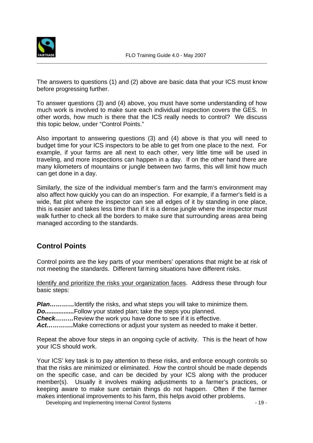

The answers to questions (1) and (2) above are basic data that your ICS must know before progressing further.

To answer questions (3) and (4) above, you must have some understanding of how much work is involved to make sure each individual inspection covers the GES. In other words, how much is there that the ICS really needs to control? We discuss this topic below, under "Control Points."

Also important to answering questions (3) and (4) above is that you will need to budget time for your ICS inspectors to be able to get from one place to the next. For example, if your farms are all next to each other, very little time will be used in traveling, and more inspections can happen in a day. If on the other hand there are many kilometers of mountains or jungle between two farms, this will limit how much can get done in a day.

Similarly, the size of the individual member's farm and the farm's environment may also affect how quickly you can do an inspection. For example, if a farmer's field is a wide, flat plot where the inspector can see all edges of it by standing in one place, this is easier and takes less time than if it is a dense jungle where the inspector must walk further to check all the borders to make sure that surrounding areas area being managed according to the standards.

## **Control Points**

Control points are the key parts of your members' operations that might be at risk of not meeting the standards. Different farming situations have different risks.

Identify and prioritize the risks your organization faces. Address these through four basic steps:

**Plan............**Identify the risks, and what steps you will take to minimize them.

**Do.................**Follow your stated plan; take the steps you planned.

**Check………**Review the work you have done to see if it is effective.

**Act………….**Make corrections or adjust your system as needed to make it better.

Repeat the above four steps in an ongoing cycle of activity. This is the heart of how your ICS should work.

Your ICS' key task is to pay attention to these risks, and enforce enough controls so that the risks are minimized or eliminated. How the control should be made depends on the specific case, and can be decided by your ICS along with the producer member(s). Usually it involves making adjustments to a farmer's practices, or keeping aware to make sure certain things do not happen. Often if the farmer makes intentional improvements to his farm, this helps avoid other problems.

Developing and Implementing Internal Control Systems - 19 - 19 -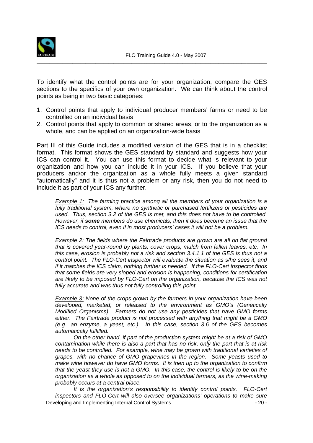

To identify what the control points are for your organization, compare the GES sections to the specifics of your own organization. We can think about the control points as being in two basic categories:

- 1. Control points that apply to individual producer members' farms or need to be controlled on an individual basis
- 2. Control points that apply to common or shared areas, or to the organization as a whole, and can be applied on an organization-wide basis

Part III of this Guide includes a modified version of the GES that is in a checklist format. This format shows the GES standard by standard and suggests how your ICS can control it. You can use this format to decide what is relevant to your organization and how you can include it in your ICS. If you believe that your producers and/or the organization as a whole fully meets a given standard "automatically" and it is thus not a problem or any risk, then you do not need to include it as part of your ICS any further.

**Example 1:** The farming practice among all the members of your organization is a fully traditional system, where no synthetic or purchased fertilizers or pesticides are used. Thus, section 3.2 of the GES is met, and this does not have to be controlled. However, if **some** members do use chemicals, then it does become an issue that the ICS needs to control, even if in most producers' cases it will not be a problem.

Example 2: The fields where the Fairtrade products are grown are all on flat ground that is covered year-round by plants, cover crops, mulch from fallen leaves, etc. In this case, erosion is probably not a risk and section 3.4.1.1 of the GES is thus not a control point. The FLO-Cert inspector will evaluate the situation as s/he sees it, and if it matches the ICS claim, nothing further is needed. If the FLO-Cert inspector finds that some fields are very sloped and erosion is happening, conditions for certification are likely to be imposed by FLO-Cert on the organization, because the ICS was not fully accurate and was thus not fully controlling this point.

**Example 3:** None of the crops grown by the farmers in your organization have been developed, marketed, or released to the environment as GMO's (Genetically Modified Organisms). Farmers do not use any pesticides that have GMO forms either. The Fairtrade product is not processed with anything that might be a GMO (e.g., an enzyme, a yeast, etc.). In this case, section 3.6 of the GES becomes automatically fulfilled.

 On the other hand, if part of the production system might be at a risk of GMO contamination while there is also a part that has no risk, only the part that is at risk needs to be controlled. For example, wine may be grown with traditional varieties of grapes, with no chance of GMO grapevines in the region. Some yeasts used to make wine however do have GMO forms. It is then up to the organization to confirm that the yeast they use is not a GMO. In this case, the control is likely to be on the organization as a whole as opposed to on the individual farmers, as the wine-making probably occurs at a central place.

Developing and Implementing Internal Control Systems - 20 - It is the organization's responsibility to identify control points. FLO-Cert inspectors and FLO-Cert will also oversee organizations' operations to make sure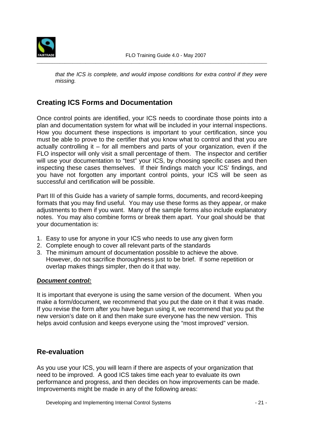

that the ICS is complete, and would impose conditions for extra control if they were missing.

## **Creating ICS Forms and Documentation**

Once control points are identified, your ICS needs to coordinate those points into a plan and documentation system for what will be included in your internal inspections. How you document these inspections is important to your certification, since you must be able to prove to the certifier that you know what to control and that you are actually controlling it – for all members and parts of your organization, even if the FLO inspector will only visit a small percentage of them. The inspector and certifier will use your documentation to "test" your ICS, by choosing specific cases and then inspecting these cases themselves. If their findings match your ICS' findings, and you have not forgotten any important control points, your ICS will be seen as successful and certification will be possible.

Part III of this Guide has a variety of sample forms, documents, and record-keeping formats that you may find useful. You may use these forms as they appear, or make adjustments to them if you want. Many of the sample forms also include explanatory notes. You may also combine forms or break them apart. Your goal should be that your documentation is:

- 1. Easy to use for anyone in your ICS who needs to use any given form
- 2. Complete enough to cover all relevant parts of the standards
- 3. The minimum amount of documentation possible to achieve the above. However, do not sacrifice thoroughness just to be brief. If some repetition or overlap makes things simpler, then do it that way.

#### **Document control:**

It is important that everyone is using the same version of the document. When you make a form/document, we recommend that you put the date on it that it was made. If you revise the form after you have begun using it, we recommend that you put the new version's date on it and then make sure everyone has the new version. This helps avoid confusion and keeps everyone using the "most improved" version.

### **Re-evaluation**

As you use your ICS, you will learn if there are aspects of your organization that need to be improved. A good ICS takes time each year to evaluate its own performance and progress, and then decides on how improvements can be made. Improvements might be made in any of the following areas:

Developing and Implementing Internal Control Systems - 21 -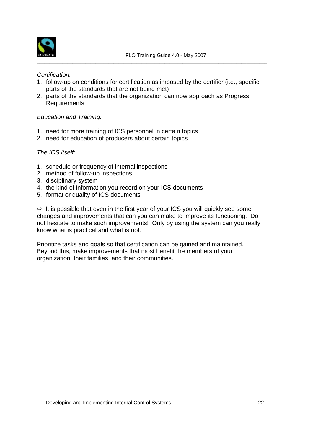

#### Certification:

- 1. follow-up on conditions for certification as imposed by the certifier (i.e., specific parts of the standards that are not being met)
- 2. parts of the standards that the organization can now approach as Progress **Requirements**

#### Education and Training:

- 1. need for more training of ICS personnel in certain topics
- 2. need for education of producers about certain topics

#### The ICS itself:

- 1. schedule or frequency of internal inspections
- 2. method of follow-up inspections
- 3. disciplinary system
- 4. the kind of information you record on your ICS documents
- 5. format or quality of ICS documents

 $\Rightarrow$  It is possible that even in the first year of your ICS you will quickly see some changes and improvements that can you can make to improve its functioning. Do not hesitate to make such improvements! Only by using the system can you really know what is practical and what is not.

Prioritize tasks and goals so that certification can be gained and maintained. Beyond this, make improvements that most benefit the members of your organization, their families, and their communities.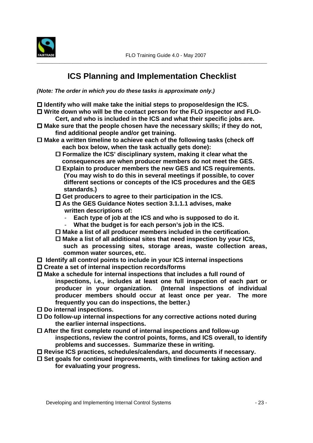

## **ICS Planning and Implementation Checklist**

**(Note: The order in which you do these tasks is approximate only.)** 

- □ Identify who will make take the initial steps to propose/design the ICS.
- □ Write down who will be the contact person for the FLO inspector and FLO-**Cert, and who is included in the ICS and what their specific jobs are.**
- □ Make sure that the people chosen have the necessary skills; if they do not, **find additional people and/or get training.**
- □ Make a written timeline to achieve each of the following tasks (check off  **each box below, when the task actually gets done):** 
	- □ Formalize the ICS' disciplinary system, making it clear what the  **consequences are when producer members do not meet the GES.**
	- □ Explain to producer members the new GES and ICS requirements.  **(You may wish to do this in several meetings if possible, to cover different sections or concepts of the ICS procedures and the GES standards.)**
	- □ Get producers to agree to their participation in the ICS.
	- □ As the GES Guidance Notes section 3.1.1.1 advises, make **written descriptions of:** 
		- Each type of job at the ICS and who is supposed to do it.
		- **What the budget is for each person's job in the ICS.**
	- □ Make a list of all producer members included in the certification.
	- □ Make a list of all additional sites that need inspection by your ICS, **such as processing sites, storage areas, waste collection areas, common water sources, etc.**
- □ Identify all control points to include in your ICS internal inspections
- □ Create a set of internal inspection records/forms
- □ Make a schedule for internal inspections that includes a full round of **inspections, i.e., includes at least one full inspection of each part or producer in your organization. (Internal inspections of individual producer members should occur at least once per year. The more frequently you can do inspections, the better.)**
- □ Do internal inspections.
- □ Do follow-up internal inspections for any corrective actions noted during **the earlier internal inspections.**
- □ After the first complete round of internal inspections and follow-up **inspections, review the control points, forms, and ICS overall, to identify problems and successes. Summarize these in writing.**
- □ Revise ICS practices, schedules/calendars, and documents if necessary.
- □ Set goals for continued improvements, with timelines for taking action and **for evaluating your progress.**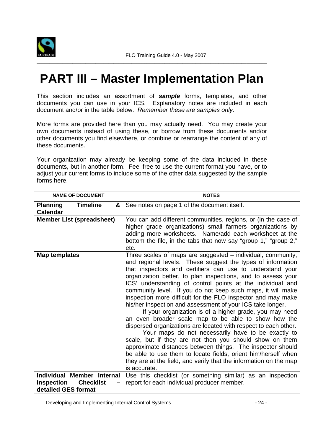

## **PART III – Master Implementation Plan**

This section includes an assortment of **sample** forms, templates, and other documents you can use in your ICS. Explanatory notes are included in each document and/or in the table below. Remember these are samples only.

More forms are provided here than you may actually need. You may create your own documents instead of using these, or borrow from these documents and/or other documents you find elsewhere, or combine or rearrange the content of any of these documents.

Your organization may already be keeping some of the data included in these documents, but in another form. Feel free to use the current format you have, or to adjust your current forms to include some of the other data suggested by the sample forms here.

| <b>NAME OF DOCUMENT</b>                                      | <b>NOTES</b>                                                                                                                                                                                                                                                                                                                                                                                                                                                                                                                                                                                                                                                                                                                                                                                                                                                                                                                                                                                                                                  |
|--------------------------------------------------------------|-----------------------------------------------------------------------------------------------------------------------------------------------------------------------------------------------------------------------------------------------------------------------------------------------------------------------------------------------------------------------------------------------------------------------------------------------------------------------------------------------------------------------------------------------------------------------------------------------------------------------------------------------------------------------------------------------------------------------------------------------------------------------------------------------------------------------------------------------------------------------------------------------------------------------------------------------------------------------------------------------------------------------------------------------|
| <b>Planning</b><br><b>Timeline</b><br>&<br><b>Calendar</b>   | See notes on page 1 of the document itself.                                                                                                                                                                                                                                                                                                                                                                                                                                                                                                                                                                                                                                                                                                                                                                                                                                                                                                                                                                                                   |
| <b>Member List (spreadsheet)</b>                             | You can add different communities, regions, or (in the case of<br>higher grade organizations) small farmers organizations by<br>adding more worksheets. Name/add each worksheet at the<br>bottom the file, in the tabs that now say "group 1," "group 2,"<br>etc.                                                                                                                                                                                                                                                                                                                                                                                                                                                                                                                                                                                                                                                                                                                                                                             |
| Map templates                                                | Three scales of maps are suggested - individual, community,<br>and regional levels. These suggest the types of information<br>that inspectors and certifiers can use to understand your<br>organization better, to plan inspections, and to assess your<br>ICS' understanding of control points at the individual and<br>community level. If you do not keep such maps, it will make<br>inspection more difficult for the FLO inspector and may make<br>his/her inspection and assessment of your ICS take longer.<br>If your organization is of a higher grade, you may need<br>an even broader scale map to be able to show how the<br>dispersed organizations are located with respect to each other.<br>Your maps do not necessarily have to be exactly to<br>scale, but if they are not then you should show on them<br>approximate distances between things. The inspector should<br>be able to use them to locate fields, orient him/herself when<br>they are at the field, and verify that the information on the map<br>is accurate. |
| Individual Member Internal                                   | Use this checklist (or something similar) as an inspection                                                                                                                                                                                                                                                                                                                                                                                                                                                                                                                                                                                                                                                                                                                                                                                                                                                                                                                                                                                    |
| <b>Inspection</b><br><b>Checklist</b><br>detailed GES format | report for each individual producer member.                                                                                                                                                                                                                                                                                                                                                                                                                                                                                                                                                                                                                                                                                                                                                                                                                                                                                                                                                                                                   |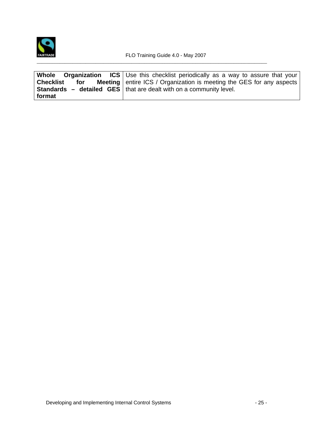

| Whole Organization | <b>ICS</b> Use this checklist periodically as a way to assure that your     |
|--------------------|-----------------------------------------------------------------------------|
| Checklist<br>for   | <b>Meeting</b> entire ICS / Organization is meeting the GES for any aspects |
|                    | <b>Standards – detailed GES</b>   that are dealt with on a community level. |
| format             |                                                                             |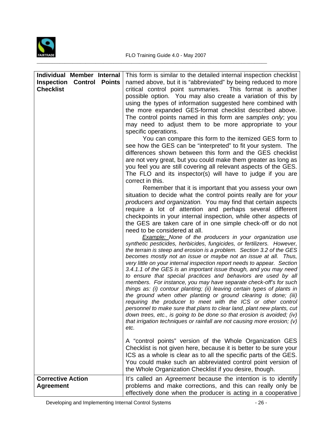

| Individual Member Internal<br><b>Inspection Control Points</b><br><b>Checklist</b> | This form is similar to the detailed internal inspection checklist<br>named above, but it is "abbreviated" by being reduced to more<br>critical control point summaries.<br>This format is another                                                                                                                                                                                                                                                                                                                                                                                                                                                                                                                                                                                                                                                                                                                                                                                                                                  |
|------------------------------------------------------------------------------------|-------------------------------------------------------------------------------------------------------------------------------------------------------------------------------------------------------------------------------------------------------------------------------------------------------------------------------------------------------------------------------------------------------------------------------------------------------------------------------------------------------------------------------------------------------------------------------------------------------------------------------------------------------------------------------------------------------------------------------------------------------------------------------------------------------------------------------------------------------------------------------------------------------------------------------------------------------------------------------------------------------------------------------------|
|                                                                                    | possible option. You may also create a variation of this by<br>using the types of information suggested here combined with<br>the more expanded GES-format checklist described above.<br>The control points named in this form are samples only; you<br>may need to adjust them to be more appropriate to your<br>specific operations.                                                                                                                                                                                                                                                                                                                                                                                                                                                                                                                                                                                                                                                                                              |
|                                                                                    | You can compare this form to the itemized GES form to<br>see how the GES can be "interpreted" to fit your system. The<br>differences shown between this form and the GES checklist<br>are not very great, but you could make them greater as long as<br>you feel you are still covering all relevant aspects of the GES.<br>The FLO and its inspector(s) will have to judge if you are<br>correct in this.                                                                                                                                                                                                                                                                                                                                                                                                                                                                                                                                                                                                                          |
|                                                                                    | Remember that it is important that you assess your own<br>situation to decide what the control points really are for your<br>producers and organization. You may find that certain aspects<br>require a lot of attention and perhaps several different<br>checkpoints in your internal inspection, while other aspects of<br>the GES are taken care of in one simple check-off or do not<br>need to be considered at all.                                                                                                                                                                                                                                                                                                                                                                                                                                                                                                                                                                                                           |
|                                                                                    | <b>Example:</b> None of the producers in your organization use<br>synthetic pesticides, herbicides, fungicides, or fertilizers. However,<br>the terrain is steep and erosion is a problem. Section 3.2 of the GES<br>becomes mostly not an issue or maybe not an issue at all. Thus,<br>very little on your internal inspection report needs to appear. Section<br>3.4.1.1 of the GES is an important issue though, and you may need<br>to ensure that special practices and behaviors are used by all<br>members. For instance, you may have separate check-off's for such<br>things as: (i) contour planting; (ii) leaving certain types of plants in<br>the ground when other planting or ground clearing is done; (iii)<br>requiring the producer to meet with the ICS or other control<br>personnel to make sure that plans to clear land, plant new plants, cut<br>down trees, etc., is going to be done so that erosion is avoided; (iv)<br>that irrigation techniques or rainfall are not causing more erosion; (v)<br>etc. |
|                                                                                    | A "control points" version of the Whole Organization GES<br>Checklist is not given here, because it is better to be sure your<br>ICS as a whole is clear as to all the specific parts of the GES.<br>You could make such an abbreviated control point version of<br>the Whole Organization Checklist if you desire, though.                                                                                                                                                                                                                                                                                                                                                                                                                                                                                                                                                                                                                                                                                                         |
| <b>Corrective Action</b><br><b>Agreement</b>                                       | It's called an Agreement because the intention is to identify<br>problems and make corrections, and this can really only be<br>effectively done when the producer is acting in a cooperative                                                                                                                                                                                                                                                                                                                                                                                                                                                                                                                                                                                                                                                                                                                                                                                                                                        |

Developing and Implementing Internal Control Systems - 26 -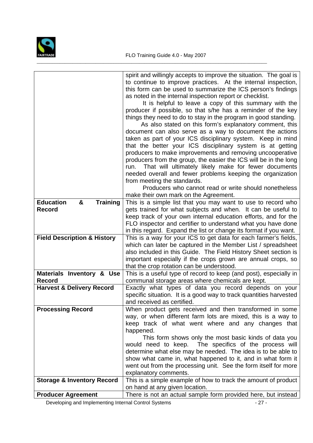

|                                          | spirit and willingly accepts to improve the situation. The goal is<br>to continue to improve practices. At the internal inspection,<br>this form can be used to summarize the ICS person's findings<br>as noted in the internal inspection report or checklist.<br>It is helpful to leave a copy of this summary with the<br>producer if possible, so that s/he has a reminder of the key<br>things they need to do to stay in the program in good standing.<br>As also stated on this form's explanatory comment, this<br>document can also serve as a way to document the actions<br>taken as part of your ICS disciplinary system. Keep in mind<br>that the better your ICS disciplinary system is at getting<br>producers to make improvements and removing uncooperative<br>producers from the group, the easier the ICS will be in the long<br>run. That will ultimately likely make for fewer documents<br>needed overall and fewer problems keeping the organization<br>from meeting the standards.<br>Producers who cannot read or write should nonetheless<br>make their own mark on the Agreement. |
|------------------------------------------|---------------------------------------------------------------------------------------------------------------------------------------------------------------------------------------------------------------------------------------------------------------------------------------------------------------------------------------------------------------------------------------------------------------------------------------------------------------------------------------------------------------------------------------------------------------------------------------------------------------------------------------------------------------------------------------------------------------------------------------------------------------------------------------------------------------------------------------------------------------------------------------------------------------------------------------------------------------------------------------------------------------------------------------------------------------------------------------------------------------|
| <b>Education</b><br>&<br><b>Training</b> | This is a simple list that you may want to use to record who                                                                                                                                                                                                                                                                                                                                                                                                                                                                                                                                                                                                                                                                                                                                                                                                                                                                                                                                                                                                                                                  |
| <b>Record</b>                            | gets trained for what subjects and when. It can be useful to<br>keep track of your own internal education efforts, and for the                                                                                                                                                                                                                                                                                                                                                                                                                                                                                                                                                                                                                                                                                                                                                                                                                                                                                                                                                                                |
|                                          | FLO inspector and certifier to understand what you have done<br>in this regard. Expand the list or change its format if you want.                                                                                                                                                                                                                                                                                                                                                                                                                                                                                                                                                                                                                                                                                                                                                                                                                                                                                                                                                                             |
| <b>Field Description &amp; History</b>   | This is a way for your ICS to get data for each farmer's fields,                                                                                                                                                                                                                                                                                                                                                                                                                                                                                                                                                                                                                                                                                                                                                                                                                                                                                                                                                                                                                                              |
|                                          | which can later be captured in the Member List / spreadsheet<br>also included in this Guide. The Field History Sheet section is                                                                                                                                                                                                                                                                                                                                                                                                                                                                                                                                                                                                                                                                                                                                                                                                                                                                                                                                                                               |
|                                          | important especially if the crops grown are annual crops, so                                                                                                                                                                                                                                                                                                                                                                                                                                                                                                                                                                                                                                                                                                                                                                                                                                                                                                                                                                                                                                                  |
| Materials Inventory & Use                | that the crop rotation can be understood.<br>This is a useful type of record to keep (and post), especially in                                                                                                                                                                                                                                                                                                                                                                                                                                                                                                                                                                                                                                                                                                                                                                                                                                                                                                                                                                                                |
| <b>Record</b>                            | communal storage areas where chemicals are kept.                                                                                                                                                                                                                                                                                                                                                                                                                                                                                                                                                                                                                                                                                                                                                                                                                                                                                                                                                                                                                                                              |
| <b>Harvest &amp; Delivery Record</b>     | Exactly what types of data you record depends on your                                                                                                                                                                                                                                                                                                                                                                                                                                                                                                                                                                                                                                                                                                                                                                                                                                                                                                                                                                                                                                                         |
|                                          | specific situation. It is a good way to track quantities harvested<br>and received as certified.                                                                                                                                                                                                                                                                                                                                                                                                                                                                                                                                                                                                                                                                                                                                                                                                                                                                                                                                                                                                              |
| <b>Processing Record</b>                 | When product gets received and then transformed in some                                                                                                                                                                                                                                                                                                                                                                                                                                                                                                                                                                                                                                                                                                                                                                                                                                                                                                                                                                                                                                                       |
|                                          | way, or when different farm lots are mixed, this is a way to<br>keep track of what went where and any changes that                                                                                                                                                                                                                                                                                                                                                                                                                                                                                                                                                                                                                                                                                                                                                                                                                                                                                                                                                                                            |
|                                          | happened.                                                                                                                                                                                                                                                                                                                                                                                                                                                                                                                                                                                                                                                                                                                                                                                                                                                                                                                                                                                                                                                                                                     |
|                                          | This form shows only the most basic kinds of data you                                                                                                                                                                                                                                                                                                                                                                                                                                                                                                                                                                                                                                                                                                                                                                                                                                                                                                                                                                                                                                                         |
|                                          | The specifics of the process will<br>would need to keep.<br>determine what else may be needed. The idea is to be able to                                                                                                                                                                                                                                                                                                                                                                                                                                                                                                                                                                                                                                                                                                                                                                                                                                                                                                                                                                                      |
|                                          | show what came in, what happened to it, and in what form it                                                                                                                                                                                                                                                                                                                                                                                                                                                                                                                                                                                                                                                                                                                                                                                                                                                                                                                                                                                                                                                   |
|                                          | went out from the processing unit. See the form itself for more                                                                                                                                                                                                                                                                                                                                                                                                                                                                                                                                                                                                                                                                                                                                                                                                                                                                                                                                                                                                                                               |
| <b>Storage &amp; Inventory Record</b>    | explanatory comments.<br>This is a simple example of how to track the amount of product                                                                                                                                                                                                                                                                                                                                                                                                                                                                                                                                                                                                                                                                                                                                                                                                                                                                                                                                                                                                                       |
|                                          | on hand at any given location.                                                                                                                                                                                                                                                                                                                                                                                                                                                                                                                                                                                                                                                                                                                                                                                                                                                                                                                                                                                                                                                                                |
| <b>Producer Agreement</b>                | There is not an actual sample form provided here, but instead                                                                                                                                                                                                                                                                                                                                                                                                                                                                                                                                                                                                                                                                                                                                                                                                                                                                                                                                                                                                                                                 |

Developing and Implementing Internal Control Systems - 27 -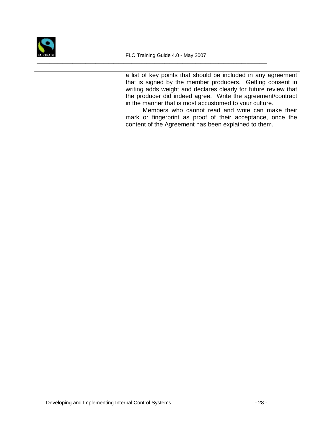

| a list of key points that should be included in any agreement   |
|-----------------------------------------------------------------|
| that is signed by the member producers. Getting consent in      |
| writing adds weight and declares clearly for future review that |
| the producer did indeed agree. Write the agreement/contract     |
| in the manner that is most accustomed to your culture.          |
| Members who cannot read and write can make their                |
| mark or fingerprint as proof of their acceptance, once the      |
| content of the Agreement has been explained to them.            |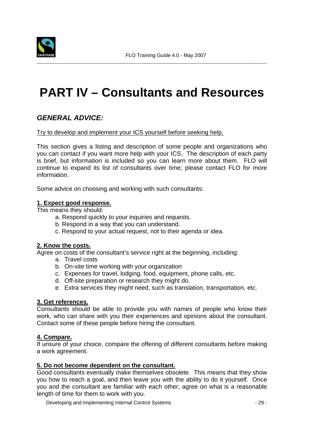

# **PART IV – Consultants and Resources**

## **GENERAL ADVICE:**

Try to develop and implement your ICS yourself before seeking help.

This section gives a listing and description of some people and organizations who you can contact if you want more help with your ICS. The description of each party is brief, but information is included so you can learn more about them. FLO will continue to expand its list of consultants over time; please contact FLO for more information.

Some advice on choosing and working with such consultants:

#### **1. Expect good response.**

This means they should:

- a. Respond quickly to your inquiries and requests.
- b. Respond in a way that you can understand.
- c. Respond to your actual request, not to their agenda or idea.

#### **2. Know the costs.**

Agree on costs of the consultant's service right at the beginning, including:

- a. Travel costs
- b. On-site time working with your organization
- c. Expenses for travel, lodging, food, equipment, phone calls, etc.
- d. Off-site preparation or research they might do.
- e. Extra services they might need, such as translation, transportation, etc.

#### **3. Get references.**

Consultants should be able to provide you with names of people who know their work, who can share with you their experiences and opinions about the consultant. Contact some of these people before hiring the consultant.

#### **4. Compare.**

If unsure of your choice, compare the offering of different consultants before making a work agreement.

#### **5. Do not become dependent on the consultant.**

Good consultants eventually make themselves obsolete. This means that they show you how to reach a goal, and then leave you with the ability to do it yourself. Once you and the consultant are familiar with each other, agree on what is a reasonable length of time for them to work with you.

Developing and Implementing Internal Control Systems - 29 -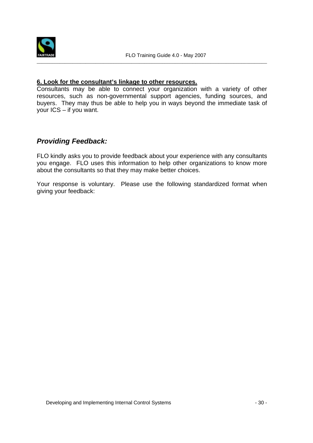

#### **6. Look for the consultant's linkage to other resources.**

Consultants may be able to connect your organization with a variety of other resources, such as non-governmental support agencies, funding sources, and buyers. They may thus be able to help you in ways beyond the immediate task of your ICS – if you want.

### **Providing Feedback:**

FLO kindly asks you to provide feedback about your experience with any consultants you engage. FLO uses this information to help other organizations to know more about the consultants so that they may make better choices.

Your response is voluntary. Please use the following standardized format when giving your feedback: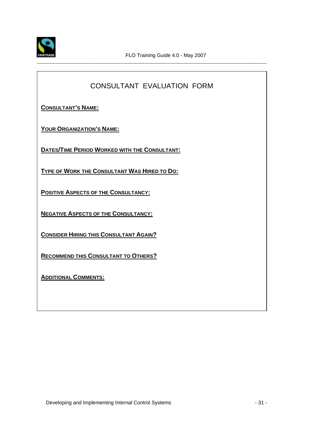

## CONSULTANT EVALUATION FORM

\_\_\_\_\_\_\_\_\_\_\_\_\_\_\_\_\_\_\_\_\_\_\_\_\_\_\_\_\_\_\_\_\_\_\_\_\_\_\_\_\_\_\_\_\_\_\_\_\_\_\_\_\_\_\_\_\_\_\_\_\_\_\_\_\_\_\_\_\_\_\_\_\_\_\_\_\_\_\_\_\_\_\_\_\_\_\_\_\_\_

**CONSULTANT'S NAME:**

**YOUR ORGANIZATION'S NAME:**

**DATES/TIME PERIOD WORKED WITH THE CONSULTANT:**

**TYPE OF WORK THE CONSULTANT WAS HIRED TO DO:**

**POSITIVE ASPECTS OF THE CONSULTANCY:**

**NEGATIVE ASPECTS OF THE CONSULTANCY:**

**CONSIDER HIRING THIS CONSULTANT AGAIN?**

**RECOMMEND THIS CONSULTANT TO OTHERS?**

**ADDITIONAL COMMENTS:**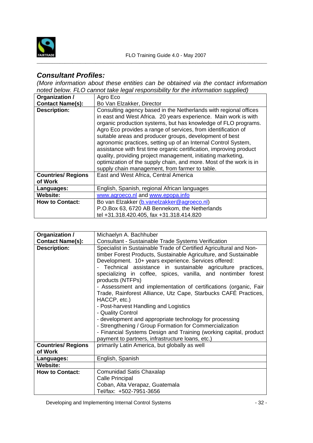

## **Consultant Profiles:**

(More information about these entities can be obtained via the contact information noted below. FLO cannot take legal responsibility for the information supplied)

| Organization /                       | Agro Eco                                                                                                                                                                                                                                                                                                                                                                                                                                                                                                                                                                                                                                                           |
|--------------------------------------|--------------------------------------------------------------------------------------------------------------------------------------------------------------------------------------------------------------------------------------------------------------------------------------------------------------------------------------------------------------------------------------------------------------------------------------------------------------------------------------------------------------------------------------------------------------------------------------------------------------------------------------------------------------------|
| <b>Contact Name(s):</b>              | Bo Van Elzakker, Director                                                                                                                                                                                                                                                                                                                                                                                                                                                                                                                                                                                                                                          |
| <b>Description:</b>                  | Consulting agency based in the Netherlands with regional offices<br>in east and West Africa. 20 years experience. Main work is with<br>organic production systems, but has knowledge of FLO programs.<br>Agro Eco provides a range of services, from identification of<br>suitable areas and producer groups, development of best<br>agronomic practices, setting up of an Internal Control System,<br>assistance with first time organic certification, improving product<br>quality, providing project management, initiating marketing,<br>optimization of the supply chain, and more. Most of the work is in<br>supply chain management, from farmer to table. |
| <b>Countries/ Regions</b><br>of Work | East and West Africa, Central America                                                                                                                                                                                                                                                                                                                                                                                                                                                                                                                                                                                                                              |
| Languages:                           | English, Spanish, regional African languages                                                                                                                                                                                                                                                                                                                                                                                                                                                                                                                                                                                                                       |
| <b>Website:</b>                      | www.agroeco.nl and www.epopa.info                                                                                                                                                                                                                                                                                                                                                                                                                                                                                                                                                                                                                                  |
| <b>How to Contact:</b>               | Bo van Elzakker (b.vanelzakker@agroeco.nl)<br>P.O.Box 63, 6720 AB Bennekom, the Netherlands<br>tel +31.318.420.405, fax +31.318.414.820                                                                                                                                                                                                                                                                                                                                                                                                                                                                                                                            |

| Organization /                       | Michaelyn A. Bachhuber                                                                                                                                                                                                                                                                                                                                                                                                                                                                                                                                                                                                                                                                                                                                                                                                |
|--------------------------------------|-----------------------------------------------------------------------------------------------------------------------------------------------------------------------------------------------------------------------------------------------------------------------------------------------------------------------------------------------------------------------------------------------------------------------------------------------------------------------------------------------------------------------------------------------------------------------------------------------------------------------------------------------------------------------------------------------------------------------------------------------------------------------------------------------------------------------|
| <b>Contact Name(s):</b>              | Consultant - Sustainable Trade Systems Verification                                                                                                                                                                                                                                                                                                                                                                                                                                                                                                                                                                                                                                                                                                                                                                   |
| <b>Description:</b>                  | Specialist in Sustainable Trade of Certified Agricultural and Non-<br>timber Forest Products, Sustainable Agriculture, and Sustainable<br>Development. 10+ years experience. Services offered:<br>Technical assistance in sustainable agriculture practices,<br>specializing in coffee, spices, vanilla, and nontimber forest<br>products (NTFPs)<br>- Assessment and implementation of certifications (organic, Fair<br>Trade, Rainforest Alliance, Utz Cape, Starbucks CAFÉ Practices,<br>HACCP, etc.)<br>- Post-harvest Handling and Logistics<br>- Quality Control<br>- development and appropriate technology for processing<br>- Strengthening / Group Formation for Commercialization<br>- Financial Systems Design and Training (working capital, product<br>payment to partners, infrastructure loans, etc.) |
| <b>Countries/ Regions</b><br>of Work | primarily Latin America, but globally as well                                                                                                                                                                                                                                                                                                                                                                                                                                                                                                                                                                                                                                                                                                                                                                         |
| Languages:                           | English, Spanish                                                                                                                                                                                                                                                                                                                                                                                                                                                                                                                                                                                                                                                                                                                                                                                                      |
| <b>Website:</b>                      |                                                                                                                                                                                                                                                                                                                                                                                                                                                                                                                                                                                                                                                                                                                                                                                                                       |
| <b>How to Contact:</b>               | Comunidad Satis Chaxalap                                                                                                                                                                                                                                                                                                                                                                                                                                                                                                                                                                                                                                                                                                                                                                                              |
|                                      | <b>Calle Principal</b>                                                                                                                                                                                                                                                                                                                                                                                                                                                                                                                                                                                                                                                                                                                                                                                                |
|                                      | Coban, Alta Verapaz, Guatemala                                                                                                                                                                                                                                                                                                                                                                                                                                                                                                                                                                                                                                                                                                                                                                                        |
|                                      | Tel/fax: +502-7951-3656                                                                                                                                                                                                                                                                                                                                                                                                                                                                                                                                                                                                                                                                                                                                                                                               |

Developing and Implementing Internal Control Systems - 32 -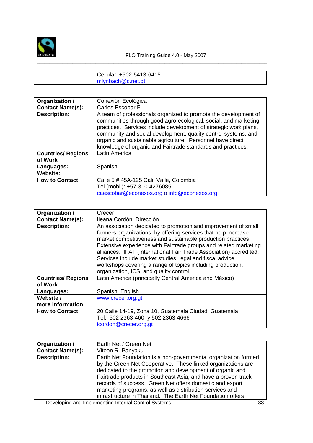

| Cellular +502-5413-6415 |
|-------------------------|
| mlynbach@c.net.gt       |

| Organization /                                   | Conexión Ecológica                                                                                                                                                                                                                                                                                                                                                                                                     |
|--------------------------------------------------|------------------------------------------------------------------------------------------------------------------------------------------------------------------------------------------------------------------------------------------------------------------------------------------------------------------------------------------------------------------------------------------------------------------------|
| <b>Contact Name(s):</b>                          | Carlos Escobar F.                                                                                                                                                                                                                                                                                                                                                                                                      |
| <b>Description:</b><br><b>Countries/ Regions</b> | A team of professionals organized to promote the development of<br>communities through good agro-ecological, social, and marketing<br>practices. Services include development of strategic work plans,<br>community and social development, quality control systems, and<br>organic and sustainable agriculture. Personnel have direct<br>knowledge of organic and Fairtrade standards and practices.<br>Latin America |
| of Work                                          |                                                                                                                                                                                                                                                                                                                                                                                                                        |
| Languages:                                       | Spanish                                                                                                                                                                                                                                                                                                                                                                                                                |
| Website:                                         |                                                                                                                                                                                                                                                                                                                                                                                                                        |
| <b>How to Contact:</b>                           | Calle 5 # 45A-125 Cali, Valle, Colombia                                                                                                                                                                                                                                                                                                                                                                                |
|                                                  | Tel (mobil): +57-310-4276085                                                                                                                                                                                                                                                                                                                                                                                           |
|                                                  | caescobar@econexos.org o info@econexos.org                                                                                                                                                                                                                                                                                                                                                                             |

| Organization /                       | Crecer                                                                                                                                                                                                                                                                                                                                                                                                                                                                                                           |
|--------------------------------------|------------------------------------------------------------------------------------------------------------------------------------------------------------------------------------------------------------------------------------------------------------------------------------------------------------------------------------------------------------------------------------------------------------------------------------------------------------------------------------------------------------------|
| <b>Contact Name(s):</b>              | Ileana Cordòn, Dirección                                                                                                                                                                                                                                                                                                                                                                                                                                                                                         |
| <b>Description:</b>                  | An association dedicated to promotion and improvement of small<br>farmers organizations, by offering services that help increase<br>market competitiveness and sustainable production practices.<br>Extensive experience with Fairtrade groups and related marketing<br>alliances. IFAT (International Fair Trade Association) accredited.<br>Services include market studies, legal and fiscal advice,<br>workshops covering a range of topics including production,<br>organization, ICS, and quality control. |
| <b>Countries/ Regions</b><br>of Work | Latin America (principally Central America and México)                                                                                                                                                                                                                                                                                                                                                                                                                                                           |
| Languages:                           | Spanish, English                                                                                                                                                                                                                                                                                                                                                                                                                                                                                                 |
| Website /                            | www.crecer.org.gt                                                                                                                                                                                                                                                                                                                                                                                                                                                                                                |
| more information:                    |                                                                                                                                                                                                                                                                                                                                                                                                                                                                                                                  |
| <b>How to Contact:</b>               | 20 Calle 14-19, Zona 10, Guatemala Ciudad, Guatemala<br>Tel. 502 2363-460 y 502 2363-4666<br>icordon@crecer.org.gt                                                                                                                                                                                                                                                                                                                                                                                               |

| Organization /          | Earth Net / Green Net                                                                                                                                                                                                                                                                                                                                                                |
|-------------------------|--------------------------------------------------------------------------------------------------------------------------------------------------------------------------------------------------------------------------------------------------------------------------------------------------------------------------------------------------------------------------------------|
| <b>Contact Name(s):</b> | Vitoon R. Panyakul                                                                                                                                                                                                                                                                                                                                                                   |
| <b>Description:</b>     | Earth Net Foundation is a non-governmental organization formed<br>by the Green Net Cooperative. These linked organizations are<br>dedicated to the promotion and development of organic and<br>Fairtrade products in Southeast Asia, and have a proven track<br>records of success. Green Net offers domestic and export<br>marketing programs, as well as distribution services and |
|                         | infrastructure in Thailand. The Earth Net Foundation offers                                                                                                                                                                                                                                                                                                                          |

Developing and Implementing Internal Control Systems - 33 -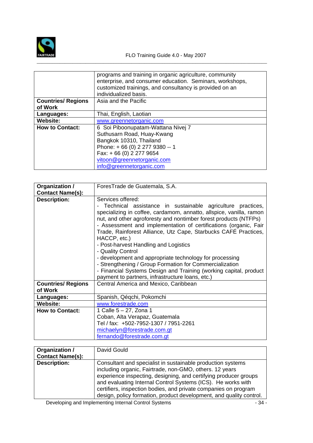

\_\_\_\_\_\_\_\_\_\_\_\_\_\_\_\_\_\_\_\_\_\_\_\_\_\_\_\_\_\_\_\_\_\_\_\_\_\_\_\_\_\_\_\_\_\_\_\_\_\_\_\_\_\_\_\_\_\_\_\_\_\_\_\_\_\_\_\_\_\_\_\_\_\_\_\_\_\_\_\_\_\_\_\_\_\_\_\_\_\_

|                           | programs and training in organic agriculture, community<br>enterprise, and consumer education. Seminars, workshops,<br>customized trainings, and consultancy is provided on an<br>individualized basis. |
|---------------------------|---------------------------------------------------------------------------------------------------------------------------------------------------------------------------------------------------------|
| <b>Countries/ Regions</b> | Asia and the Pacific                                                                                                                                                                                    |
| of Work                   |                                                                                                                                                                                                         |
| Languages:                | Thai, English, Laotian                                                                                                                                                                                  |
| Website:                  | www.greennetorganic.com                                                                                                                                                                                 |
| <b>How to Contact:</b>    | 6 Soi Piboonupatam-Wattana Nivej 7                                                                                                                                                                      |
|                           | Suthusarn Road, Huay-Kwang                                                                                                                                                                              |
|                           | Bangkok 10310, Thailand                                                                                                                                                                                 |
|                           | Phone: +66 (0) 2 277 9380 -- 1                                                                                                                                                                          |
|                           | Fax: +66 (0) 2 277 9654                                                                                                                                                                                 |
|                           | vitoon@greennetorganic.com                                                                                                                                                                              |
|                           | info@greennetorganic.com                                                                                                                                                                                |

| Organization /            | ForesTrade de Guatemala, S.A.                                       |
|---------------------------|---------------------------------------------------------------------|
| <b>Contact Name(s):</b>   |                                                                     |
| <b>Description:</b>       | Services offered:                                                   |
|                           | Technical assistance in sustainable agriculture practices,          |
|                           | specializing in coffee, cardamom, annatto, allspice, vanilla, ramon |
|                           | nut, and other agroforesty and nontimber forest products (NTFPs)    |
|                           | - Assessment and implementation of certifications (organic, Fair    |
|                           | Trade, Rainforest Alliance, Utz Cape, Starbucks CAFÉ Practices,     |
|                           | HACCP, etc.)                                                        |
|                           | - Post-harvest Handling and Logistics                               |
|                           | - Quality Control                                                   |
|                           | - development and appropriate technology for processing             |
|                           | - Strengthening / Group Formation for Commercialization             |
|                           | - Financial Systems Design and Training (working capital, product   |
|                           | payment to partners, infrastructure loans, etc.)                    |
| <b>Countries/ Regions</b> | Central America and Mexico, Caribbean                               |
| of Work                   |                                                                     |
| Languages:                | Spanish, Qéqchi, Pokomchi                                           |
| <b>Website:</b>           | www.forestrade.com                                                  |
| <b>How to Contact:</b>    | 1 Calle 5 - 27, Zona 1                                              |
|                           | Coban, Alta Verapaz, Guatemala                                      |
|                           | Tel / fax: +502-7952-1307 / 7951-2261                               |
|                           | michaelyn@forestrade.com.gt                                         |
|                           | fernando@forestrade.com.gt                                          |

| Organization /<br><b>Contact Name(s):</b> | David Gould                                                                                                                                                                                                                                                                                                                                                                                          |
|-------------------------------------------|------------------------------------------------------------------------------------------------------------------------------------------------------------------------------------------------------------------------------------------------------------------------------------------------------------------------------------------------------------------------------------------------------|
| <b>Description:</b>                       | Consultant and specialist in sustainable production systems<br>including organic, Fairtrade, non-GMO, others. 12 years<br>experience inspecting, designing, and certifying producer groups<br>and evaluating Internal Control Systems (ICS). He works with<br>certifiers, inspection bodies, and private companies on program<br>design, policy formation, product development, and quality control. |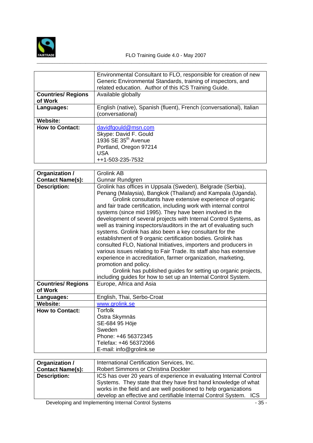

\_\_\_\_\_\_\_\_\_\_\_\_\_\_\_\_\_\_\_\_\_\_\_\_\_\_\_\_\_\_\_\_\_\_\_\_\_\_\_\_\_\_\_\_\_\_\_\_\_\_\_\_\_\_\_\_\_\_\_\_\_\_\_\_\_\_\_\_\_\_\_\_\_\_\_\_\_\_\_\_\_\_\_\_\_\_\_\_\_\_

|                                      | Environmental Consultant to FLO, responsible for creation of new<br>Generic Environmental Standards, training of inspectors, and<br>related education. Author of this ICS Training Guide. |
|--------------------------------------|-------------------------------------------------------------------------------------------------------------------------------------------------------------------------------------------|
| <b>Countries/ Regions</b><br>of Work | Available globally                                                                                                                                                                        |
| Languages:                           | English (native), Spanish (fluent), French (conversational), Italian<br>(conversational)                                                                                                  |
| <b>Website:</b>                      |                                                                                                                                                                                           |
| <b>How to Contact:</b>               | davidfgould@msn.com<br>Skype: David F. Gould<br>1936 SE 35 <sup>th</sup> Avenue<br>Portland, Oregon 97214<br>USA<br>++1-503-235-7532                                                      |

| Organization /                       | Grolink AB                                                                                                                                                                                                                                                                                                                                                                                                                                                                                                                                                                                                                                                                                                                                                                                                                                                                                                                                                           |
|--------------------------------------|----------------------------------------------------------------------------------------------------------------------------------------------------------------------------------------------------------------------------------------------------------------------------------------------------------------------------------------------------------------------------------------------------------------------------------------------------------------------------------------------------------------------------------------------------------------------------------------------------------------------------------------------------------------------------------------------------------------------------------------------------------------------------------------------------------------------------------------------------------------------------------------------------------------------------------------------------------------------|
| <b>Contact Name(s):</b>              | Gunnar Rundgren                                                                                                                                                                                                                                                                                                                                                                                                                                                                                                                                                                                                                                                                                                                                                                                                                                                                                                                                                      |
| <b>Description:</b>                  | Grolink has offices in Uppsala (Sweden), Belgrade (Serbia),<br>Penang (Malaysia), Bangkok (Thailand) and Kampala (Uganda).<br>Grolink consultants have extensive experience of organic<br>and fair trade certification, including work with internal control<br>systems (since mid 1995). They have been involved in the<br>development of several projects with Internal Control Systems, as<br>well as training inspectors/auditors in the art of evaluating such<br>systems. Grolink has also been a key consultant for the<br>establishment of 9 organic certification bodies. Grolink has<br>consulted FLO, National Initiatives, importers and producers in<br>various issues relating to Fair Trade. Its staff also has extensive<br>experience in accreditation, farmer organization, marketing,<br>promotion and policy.<br>Grolink has published guides for setting up organic projects,<br>including guides for how to set up an Internal Control System. |
| <b>Countries/ Regions</b><br>of Work | Europe, Africa and Asia                                                                                                                                                                                                                                                                                                                                                                                                                                                                                                                                                                                                                                                                                                                                                                                                                                                                                                                                              |
| Languages:                           | English, Thai, Serbo-Croat                                                                                                                                                                                                                                                                                                                                                                                                                                                                                                                                                                                                                                                                                                                                                                                                                                                                                                                                           |
| <b>Website:</b>                      | www.grolink.se                                                                                                                                                                                                                                                                                                                                                                                                                                                                                                                                                                                                                                                                                                                                                                                                                                                                                                                                                       |
| <b>How to Contact:</b>               | <b>Torfolk</b><br>Östra Skymnäs<br>SE-684 95 Höje<br>Sweden<br>Phone: +46 56372345<br>Telefax: +46 56372066<br>E-mail: info@grolink.se                                                                                                                                                                                                                                                                                                                                                                                                                                                                                                                                                                                                                                                                                                                                                                                                                               |

| Organization /          | International Certification Services, Inc.                         |
|-------------------------|--------------------------------------------------------------------|
| <b>Contact Name(s):</b> | <b>Robert Simmons or Christina Dockter</b>                         |
| <b>Description:</b>     | ICS has over 20 years of experience in evaluating Internal Control |
|                         | Systems. They state that they have first hand knowledge of what    |
|                         | works in the field and are well positioned to help organizations   |
|                         | develop an effective and certifiable Internal Control System. ICS  |
|                         |                                                                    |

Developing and Implementing Internal Control Systems - 35 -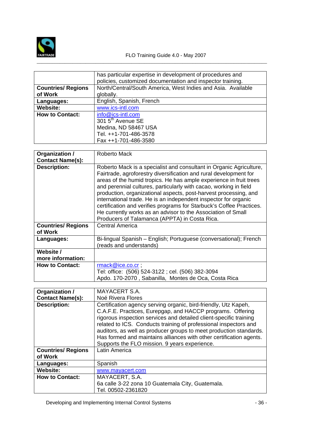

|                           | has particular expertise in development of procedures and<br>policies, customized documentation and inspector training. |
|---------------------------|-------------------------------------------------------------------------------------------------------------------------|
| <b>Countries/ Regions</b> | North/Central/South America, West Indies and Asia. Available                                                            |
| of Work                   | globally.                                                                                                               |
| Languages:                | English, Spanish, French                                                                                                |
| <b>Website:</b>           | www.ics-intl.com                                                                                                        |
| <b>How to Contact:</b>    | info@ics-intl.com                                                                                                       |
|                           | 301 5 <sup>th</sup> Avenue SE                                                                                           |
|                           | Medina, ND 58467 USA                                                                                                    |
|                           | Tel. ++1-701-486-3578                                                                                                   |
|                           | Fax ++1-701-486-3580                                                                                                    |

\_\_\_\_\_\_\_\_\_\_\_\_\_\_\_\_\_\_\_\_\_\_\_\_\_\_\_\_\_\_\_\_\_\_\_\_\_\_\_\_\_\_\_\_\_\_\_\_\_\_\_\_\_\_\_\_\_\_\_\_\_\_\_\_\_\_\_\_\_\_\_\_\_\_\_\_\_\_\_\_\_\_\_\_\_\_\_\_\_\_

| Organization /                                 | Roberto Mack                                                                                                                                                                                                                                                                                                                                                                                                                                                                                                                                 |
|------------------------------------------------|----------------------------------------------------------------------------------------------------------------------------------------------------------------------------------------------------------------------------------------------------------------------------------------------------------------------------------------------------------------------------------------------------------------------------------------------------------------------------------------------------------------------------------------------|
| <b>Contact Name(s):</b><br><b>Description:</b> | Roberto Mack is a specialist and consultant in Organic Agriculture,                                                                                                                                                                                                                                                                                                                                                                                                                                                                          |
|                                                | Fairtrade, agroforestry diversification and rural development for<br>areas of the humid tropics. He has ample experience in fruit trees<br>and perennial cultures, particularly with cacao, working in field<br>production, organizational aspects, post-harvest processing, and<br>international trade. He is an independent inspector for organic<br>certification and verifies programs for Starbuck's Coffee Practices.<br>He currently works as an advisor to the Association of Small<br>Producers of Talamanca (APPTA) in Costa Rica. |
| <b>Countries/ Regions</b><br>of Work           | <b>Central America</b>                                                                                                                                                                                                                                                                                                                                                                                                                                                                                                                       |
| Languages:                                     | Bi-lingual Spanish – English; Portuguese (conversational); French<br>(reads and understands)                                                                                                                                                                                                                                                                                                                                                                                                                                                 |
| Website /<br>more information:                 |                                                                                                                                                                                                                                                                                                                                                                                                                                                                                                                                              |
| <b>How to Contact:</b>                         | rmack@ice.co.cr;                                                                                                                                                                                                                                                                                                                                                                                                                                                                                                                             |
|                                                | Tel: office: (506) 524-3122 ; cel. (506) 382-3094                                                                                                                                                                                                                                                                                                                                                                                                                                                                                            |
|                                                | Apdo. 170-2070, Sabanilla, Montes de Oca, Costa Rica                                                                                                                                                                                                                                                                                                                                                                                                                                                                                         |

| Organization /                       | MAYACERT S.A.                                                                                                                                                                                                                                                                                                                                                                                                                                                         |
|--------------------------------------|-----------------------------------------------------------------------------------------------------------------------------------------------------------------------------------------------------------------------------------------------------------------------------------------------------------------------------------------------------------------------------------------------------------------------------------------------------------------------|
| <b>Contact Name(s):</b>              | Noé Rivera Flores                                                                                                                                                                                                                                                                                                                                                                                                                                                     |
| <b>Description:</b>                  | Certification agency serving organic, bird-friendly, Utz Kapeh,<br>C.A.F.E. Practices, Eurepgap, and HACCP programs. Offering<br>rigorous inspection services and detailed client-specific training<br>related to ICS. Conducts training of professional inspectors and<br>auditors, as well as producer groups to meet production standards.<br>Has formed and maintains alliances with other certification agents.<br>Supports the FLO mission. 9 years experience. |
| <b>Countries/ Regions</b><br>of Work | Latin America                                                                                                                                                                                                                                                                                                                                                                                                                                                         |
| Languages:                           | Spanish                                                                                                                                                                                                                                                                                                                                                                                                                                                               |
| <b>Website:</b>                      | www.mayacert.com                                                                                                                                                                                                                                                                                                                                                                                                                                                      |
| <b>How to Contact:</b>               | MAYACERT, S.A.                                                                                                                                                                                                                                                                                                                                                                                                                                                        |
|                                      | 6a calle 3-22 zona 10 Guatemala City, Guatemala.<br>Tel. 00502-2361820                                                                                                                                                                                                                                                                                                                                                                                                |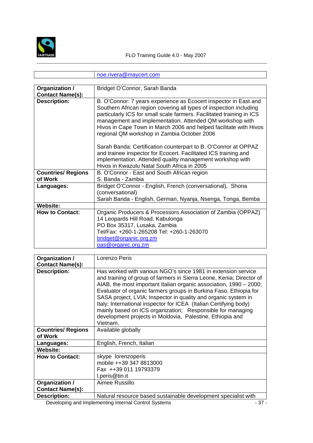

|                           | noe.rivera@maycert.com                                                                                                                                                                                                                                                                                                                                                                                                                                                                                                                                                                            |
|---------------------------|---------------------------------------------------------------------------------------------------------------------------------------------------------------------------------------------------------------------------------------------------------------------------------------------------------------------------------------------------------------------------------------------------------------------------------------------------------------------------------------------------------------------------------------------------------------------------------------------------|
|                           |                                                                                                                                                                                                                                                                                                                                                                                                                                                                                                                                                                                                   |
| Organization /            | Bridget O'Connor, Sarah Banda                                                                                                                                                                                                                                                                                                                                                                                                                                                                                                                                                                     |
| <b>Contact Name(s):</b>   |                                                                                                                                                                                                                                                                                                                                                                                                                                                                                                                                                                                                   |
| <b>Description:</b>       | B. O'Connor: 7 years experience as Ecocert inspector in East and<br>Southern African region covering all types of inspection including<br>particularly ICS for small scale farmers. Facilitated training in ICS<br>management and implementation. Attended QM workshop with<br>Hivos in Cape Town in March 2006 and helped facilitate with Hivos<br>regional QM workshop in Zambia October 2006<br>Sarah Banda: Certification counterpart to B. O'Connor at OPPAZ<br>and trainee inspector for Ecocert. Facilitated ICS training and<br>implementation. Attended quality management workshop with |
|                           | Hivos in Kwazulu Natal South Africa in 2005                                                                                                                                                                                                                                                                                                                                                                                                                                                                                                                                                       |
| <b>Countries/ Regions</b> | B. O'Connor - East and South African region                                                                                                                                                                                                                                                                                                                                                                                                                                                                                                                                                       |
| of Work                   | S. Banda - Zambia                                                                                                                                                                                                                                                                                                                                                                                                                                                                                                                                                                                 |
| Languages:                | Bridget O'Connor - English, French (conversational), Shona<br>(conversational)                                                                                                                                                                                                                                                                                                                                                                                                                                                                                                                    |
|                           | Sarah Banda - English, German, Nyanja, Nsenga, Tonga, Bemba                                                                                                                                                                                                                                                                                                                                                                                                                                                                                                                                       |
| Website:                  |                                                                                                                                                                                                                                                                                                                                                                                                                                                                                                                                                                                                   |
| <b>How to Contact:</b>    | Organic Producers & Processors Association of Zambia (OPPAZ)<br>14 Leopards Hill Road, Kabulonga<br>PO Box 35317, Lusaka, Zambia<br>Tel/Fax: +260-1-265208 Tel: +260-1-263070<br>bridget@organic.org.zm<br>oas@organic.org.zm                                                                                                                                                                                                                                                                                                                                                                     |

| Organization /                       | Lorenzo Peris                                                                                                                                                                                                                                                                                                                                                                                                                                                                                                                                                  |
|--------------------------------------|----------------------------------------------------------------------------------------------------------------------------------------------------------------------------------------------------------------------------------------------------------------------------------------------------------------------------------------------------------------------------------------------------------------------------------------------------------------------------------------------------------------------------------------------------------------|
| <b>Contact Name(s):</b>              |                                                                                                                                                                                                                                                                                                                                                                                                                                                                                                                                                                |
| <b>Description:</b>                  | Has worked with various NGO's since 1981 in extension service<br>and training of group of farmers in Sierra Leone, Kenia; Director of<br>AIAB, the most important Italian organic association, 1990 – 2000;<br>Evaluator of organic farmers groups in Burkina Faso, Ethiopia for<br>SASA project, LVIA; Inspector in quality and organic system in<br>Italy; International inspector for ICEA (Italian Certifying body)<br>mainly based on ICS organization; Responsible for managing<br>development projects in Moldovia, Palestine, Ethiopia and<br>Vietnam. |
| <b>Countries/ Regions</b><br>of Work | Available globally                                                                                                                                                                                                                                                                                                                                                                                                                                                                                                                                             |
| Languages:                           | English, French, Italian                                                                                                                                                                                                                                                                                                                                                                                                                                                                                                                                       |
| Website:                             |                                                                                                                                                                                                                                                                                                                                                                                                                                                                                                                                                                |
| <b>How to Contact:</b>               | skype lorenzoperis<br>mobile ++39 347 8813000<br>Fax ++39 011 19793379<br>l.peris@tin.it                                                                                                                                                                                                                                                                                                                                                                                                                                                                       |
| Organization /                       | Aimee Russillo                                                                                                                                                                                                                                                                                                                                                                                                                                                                                                                                                 |
| <b>Contact Name(s):</b>              |                                                                                                                                                                                                                                                                                                                                                                                                                                                                                                                                                                |
| <b>Description:</b>                  | Natural resource based sustainable development specialist with                                                                                                                                                                                                                                                                                                                                                                                                                                                                                                 |

Developing and Implementing Internal Control Systems - 37 -